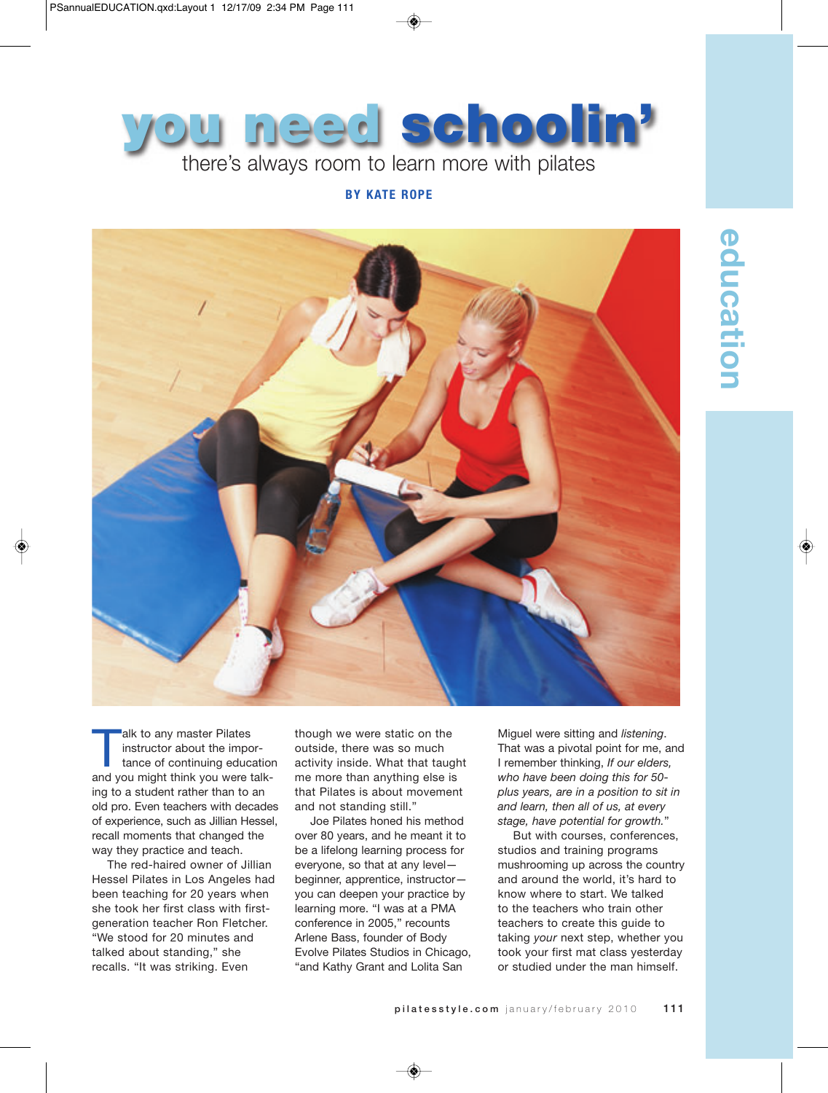

## **BY KATE ROPE**



education **education**

alk to any master Pilates<br>instructor about the importance of continuing educed<br>and you might think you were instructor about the importance of continuing education and you might think you were talking to a student rather than to an old pro. Even teachers with decades of experience, such as Jillian Hessel, recall moments that changed the way they practice and teach.

The red-haired owner of Jillian Hessel Pilates in Los Angeles had been teaching for 20 years when she took her first class with firstgeneration teacher Ron Fletcher. "We stood for 20 minutes and talked about standing," she recalls. "It was striking. Even

though we were static on the outside, there was so much activity inside. What that taught me more than anything else is that Pilates is about movement and not standing still."

Joe Pilates honed his method over 80 years, and he meant it to be a lifelong learning process for everyone, so that at any level beginner, apprentice, instructor you can deepen your practice by learning more. "I was at a PMA conference in 2005," recounts Arlene Bass, founder of Body Evolve Pilates Studios in Chicago, "and Kathy Grant and Lolita San

Miguel were sitting and *listening*. That was a pivotal point for me, and I remember thinking, *If our elders, who have been doing this for 50 plus years, are in a position to sit in and learn, then all of us, at every stage, have potential for growth.*"

But with courses, conferences, studios and training programs mushrooming up across the country and around the world, it's hard to know where to start. We talked to the teachers who train other teachers to create this guide to taking *your* next step, whether you took your first mat class yesterday or studied under the man himself.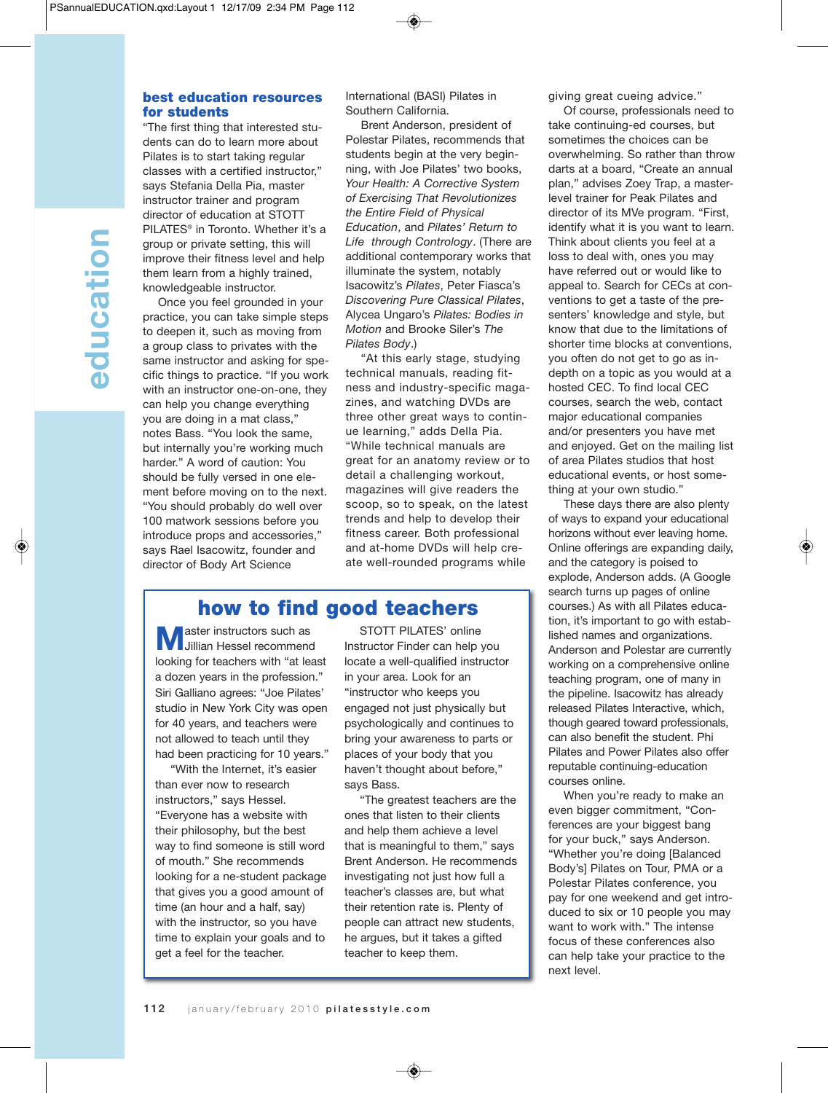## best education resources for students

"The first thing that interested students can do to learn more about Pilates is to start taking regular classes with a certified instructor," says Stefania Della Pia, master instructor trainer and program director of education at STOTT PILATES® in Toronto. Whether it's a group or private setting, this will improve their fitness level and help them learn from a highly trained, knowledgeable instructor.

Once you feel grounded in your practice, you can take simple steps to deepen it, such as moving from a group class to privates with the same instructor and asking for specific things to practice. "If you work with an instructor one-on-one, they can help you change everything you are doing in a mat class," notes Bass. "You look the same, but internally you're working much harder." A word of caution: You should be fully versed in one element before moving on to the next. "You should probably do well over 100 matwork sessions before you introduce props and accessories," says Rael Isacowitz, founder and director of Body Art Science

International (BASI) Pilates in Southern California.

Brent Anderson, president of Polestar Pilates, recommends that students begin at the very beginning, with Joe Pilates' two books, *Your Health: A Corrective System of Exercising That Revolutionizes the Entire Field of Physical Education*, and *Pilates' Return to Life through Contrology*. (There are additional contemporary works that illuminate the system, notably Isacowitz's *Pilates*, Peter Fiasca's *Discovering Pure Classical Pilates*, Alycea Ungaro's *Pilates: Bodies in Motion* and Brooke Siler's *The Pilates Body*.)

"At this early stage, studying technical manuals, reading fitness and industry-specific magazines, and watching DVDs are three other great ways to continue learning," adds Della Pia. "While technical manuals are great for an anatomy review or to detail a challenging workout, magazines will give readers the scoop, so to speak, on the latest trends and help to develop their fitness career. Both professional and at-home DVDs will help create well-rounded programs while

# how to find good teachers

**M** aster instructors such as<br>Jillian Hessel recommend looking for teachers with "at least a dozen years in the profession." Siri Galliano agrees: "Joe Pilates' studio in New York City was open for 40 years, and teachers were not allowed to teach until they had been practicing for 10 years."

"With the Internet, it's easier than ever now to research instructors," says Hessel. "Everyone has a website with their philosophy, but the best way to find someone is still word of mouth." She recommends looking for a ne-student package that gives you a good amount of time (an hour and a half, say) with the instructor, so you have time to explain your goals and to get a feel for the teacher.

STOTT PILATES' online Instructor Finder can help you locate a well-qualified instructor in your area. Look for an "instructor who keeps you engaged not just physically but psychologically and continues to bring your awareness to parts or places of your body that you haven't thought about before," says Bass.

"The greatest teachers are the ones that listen to their clients and help them achieve a level that is meaningful to them," says Brent Anderson. He recommends investigating not just how full a teacher's classes are, but what their retention rate is. Plenty of people can attract new students, he argues, but it takes a gifted teacher to keep them.

giving great cueing advice."

Of course, professionals need to take continuing-ed courses, but sometimes the choices can be overwhelming. So rather than throw darts at a board, "Create an annual plan," advises Zoey Trap, a masterlevel trainer for Peak Pilates and director of its MVe program. "First, identify what it is you want to learn. Think about clients you feel at a loss to deal with, ones you may have referred out or would like to appeal to. Search for CECs at conventions to get a taste of the presenters' knowledge and style, but know that due to the limitations of shorter time blocks at conventions, you often do not get to go as indepth on a topic as you would at a hosted CEC. To find local CEC courses, search the web, contact major educational companies and/or presenters you have met and enjoyed. Get on the mailing list of area Pilates studios that host educational events, or host something at your own studio."

These days there are also plenty of ways to expand your educational horizons without ever leaving home. Online offerings are expanding daily, and the category is poised to explode, Anderson adds. (A Google search turns up pages of online courses.) As with all Pilates education, it's important to go with established names and organizations. Anderson and Polestar are currently working on a comprehensive online teaching program, one of many in the pipeline. Isacowitz has already released Pilates Interactive, which, though geared toward professionals, can also benefit the student. Phi Pilates and Power Pilates also offer reputable continuing-education courses online.

When you're ready to make an even bigger commitment, "Conferences are your biggest bang for your buck," says Anderson. "Whether you're doing [Balanced Body's] Pilates on Tour, PMA or a Polestar Pilates conference, you pay for one weekend and get introduced to six or 10 people you may want to work with." The intense focus of these conferences also can help take your practice to the next level.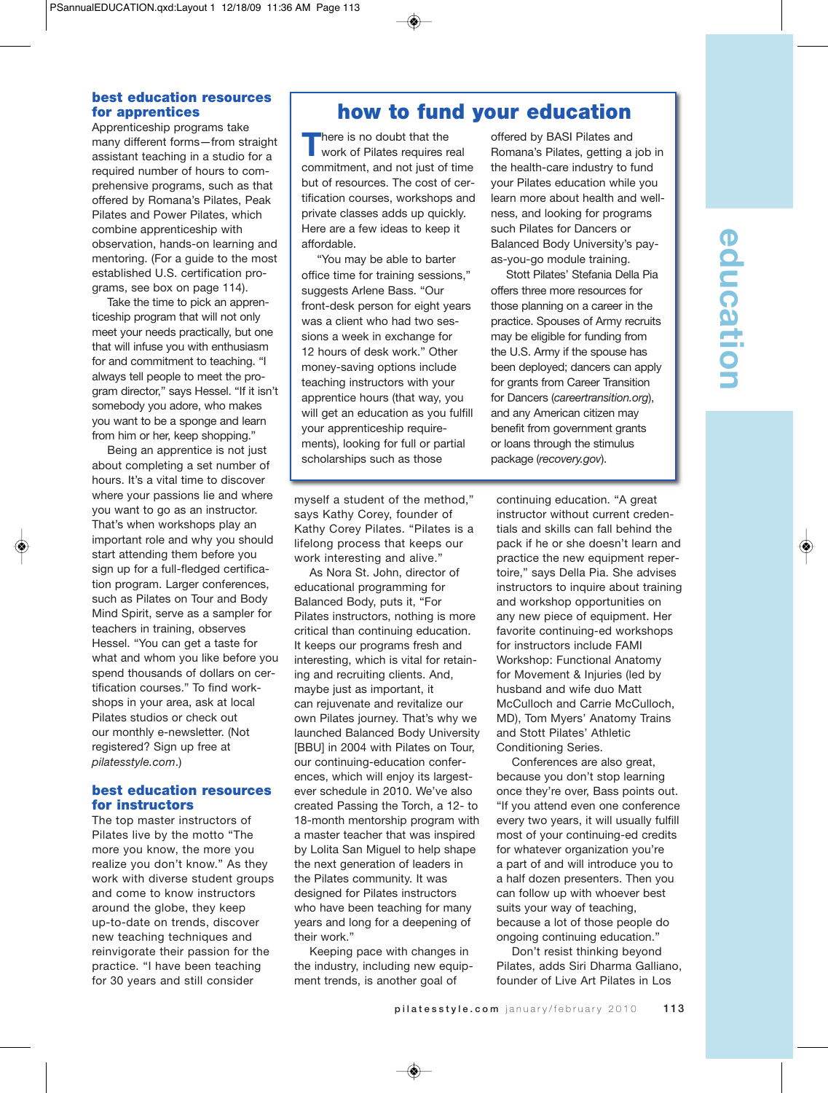# education **education**

### best education resources for apprentices

Apprenticeship programs take many different forms—from straight assistant teaching in a studio for a required number of hours to comprehensive programs, such as that offered by Romana's Pilates, Peak Pilates and Power Pilates, which combine apprenticeship with observation, hands-on learning and mentoring. (For a guide to the most established U.S. certification programs, see box on page 114).

Take the time to pick an apprenticeship program that will not only meet your needs practically, but one that will infuse you with enthusiasm for and commitment to teaching. "I always tell people to meet the program director," says Hessel. "If it isn't somebody you adore, who makes you want to be a sponge and learn from him or her, keep shopping."

Being an apprentice is not just about completing a set number of hours. It's a vital time to discover where your passions lie and where you want to go as an instructor. That's when workshops play an important role and why you should start attending them before you sign up for a full-fledged certification program. Larger conferences, such as Pilates on Tour and Body Mind Spirit, serve as a sampler for teachers in training, observes Hessel. "You can get a taste for what and whom you like before you spend thousands of dollars on certification courses." To find workshops in your area, ask at local Pilates studios or check out our monthly e-newsletter. (Not registered? Sign up free at *pilatesstyle.com*.)

## best education resources for instructors

The top master instructors of Pilates live by the motto "The more you know, the more you realize you don't know." As they work with diverse student groups and come to know instructors around the globe, they keep up-to-date on trends, discover new teaching techniques and reinvigorate their passion for the practice. "I have been teaching for 30 years and still consider

# how to fund your education

**There is no doubt that the**<br>work of Pilates requires real commitment, and not just of time but of resources. The cost of certification courses, workshops and private classes adds up quickly. Here are a few ideas to keep it affordable.

"You may be able to barter office time for training sessions," suggests Arlene Bass. "Our front-desk person for eight years was a client who had two sessions a week in exchange for 12 hours of desk work." Other money-saving options include teaching instructors with your apprentice hours (that way, you will get an education as you fulfill your apprenticeship requirements), looking for full or partial scholarships such as those

myself a student of the method," says Kathy Corey, founder of Kathy Corey Pilates. "Pilates is a lifelong process that keeps our work interesting and alive."

As Nora St. John, director of educational programming for Balanced Body, puts it, "For Pilates instructors, nothing is more critical than continuing education. It keeps our programs fresh and interesting, which is vital for retaining and recruiting clients. And, maybe just as important, it can rejuvenate and revitalize our own Pilates journey. That's why we launched Balanced Body University [BBU] in 2004 with Pilates on Tour, our continuing-education conferences, which will enjoy its largestever schedule in 2010. We've also created Passing the Torch, a 12- to 18-month mentorship program with a master teacher that was inspired by Lolita San Miguel to help shape the next generation of leaders in the Pilates community. It was designed for Pilates instructors who have been teaching for many years and long for a deepening of their work."

Keeping pace with changes in the industry, including new equipment trends, is another goal of

offered by BASI Pilates and Romana's Pilates, getting a job in the health-care industry to fund your Pilates education while you learn more about health and wellness, and looking for programs such Pilates for Dancers or Balanced Body University's payas-you-go module training.

Stott Pilates' Stefania Della Pia offers three more resources for those planning on a career in the practice. Spouses of Army recruits may be eligible for funding from the U.S. Army if the spouse has been deployed; dancers can apply for grants from Career Transition for Dancers (*careertransition.org*), and any American citizen may benefit from government grants or loans through the stimulus package (*recovery.gov*).

continuing education. "A great instructor without current credentials and skills can fall behind the pack if he or she doesn't learn and practice the new equipment repertoire," says Della Pia. She advises instructors to inquire about training and workshop opportunities on any new piece of equipment. Her favorite continuing-ed workshops for instructors include FAMI Workshop: Functional Anatomy for Movement & Injuries (led by husband and wife duo Matt McCulloch and Carrie McCulloch, MD), Tom Myers' Anatomy Trains and Stott Pilates' Athletic Conditioning Series.

Conferences are also great, because you don't stop learning once they're over, Bass points out. "If you attend even one conference every two years, it will usually fulfill most of your continuing-ed credits for whatever organization you're a part of and will introduce you to a half dozen presenters. Then you can follow up with whoever best suits your way of teaching, because a lot of those people do ongoing continuing education."

Don't resist thinking beyond Pilates, adds Siri Dharma Galliano, founder of Live Art Pilates in Los